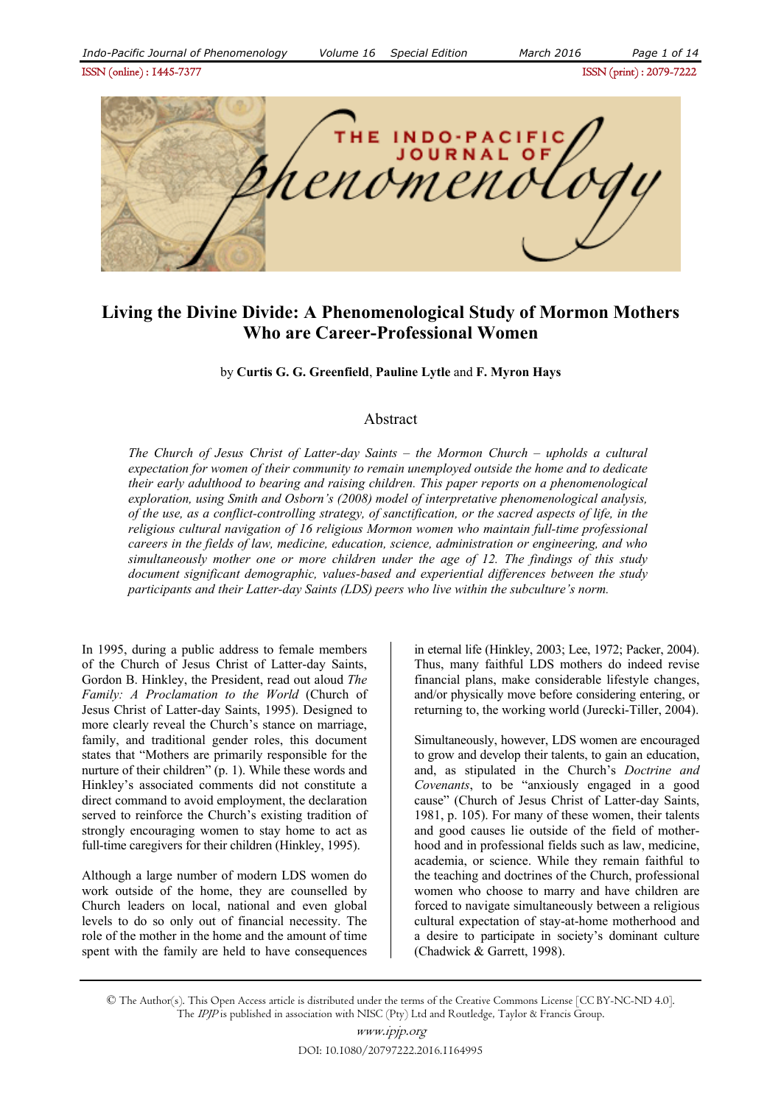ISSN (online) : 1445-7377ISSN (print) : 2079-7222



# **Living the Divine Divide: A Phenomenological Study of Mormon Mothers Who are Career-Professional Women**

by **Curtis G. G. Greenfield**, **Pauline Lytle** and **F. Myron Hays**

## Abstract

*The Church of Jesus Christ of Latter-day Saints – the Mormon Church – upholds a cultural expectation for women of their community to remain unemployed outside the home and to dedicate their early adulthood to bearing and raising children. This paper reports on a phenomenological exploration, using Smith and Osborn's (2008) model of interpretative phenomenological analysis, of the use, as a conflict-controlling strategy, of sanctification, or the sacred aspects of life, in the religious cultural navigation of 16 religious Mormon women who maintain full-time professional careers in the fields of law, medicine, education, science, administration or engineering, and who simultaneously mother one or more children under the age of 12. The findings of this study document significant demographic, values-based and experiential differences between the study participants and their Latter-day Saints (LDS) peers who live within the subculture's norm.* 

In 1995, during a public address to female members of the Church of Jesus Christ of Latter-day Saints, Gordon B. Hinkley, the President, read out aloud *The Family: A Proclamation to the World* (Church of Jesus Christ of Latter-day Saints, 1995). Designed to more clearly reveal the Church's stance on marriage, family, and traditional gender roles, this document states that "Mothers are primarily responsible for the nurture of their children" (p. 1). While these words and Hinkley's associated comments did not constitute a direct command to avoid employment, the declaration served to reinforce the Church's existing tradition of strongly encouraging women to stay home to act as full-time caregivers for their children (Hinkley, 1995).

Although a large number of modern LDS women do work outside of the home, they are counselled by Church leaders on local, national and even global levels to do so only out of financial necessity. The role of the mother in the home and the amount of time spent with the family are held to have consequences in eternal life (Hinkley, 2003; Lee, 1972; Packer, 2004). Thus, many faithful LDS mothers do indeed revise financial plans, make considerable lifestyle changes, and/or physically move before considering entering, or returning to, the working world (Jurecki-Tiller, 2004).

Simultaneously, however, LDS women are encouraged to grow and develop their talents, to gain an education, and, as stipulated in the Church's *Doctrine and Covenants*, to be "anxiously engaged in a good cause" (Church of Jesus Christ of Latter-day Saints, 1981, p. 105). For many of these women, their talents and good causes lie outside of the field of motherhood and in professional fields such as law, medicine, academia, or science. While they remain faithful to the teaching and doctrines of the Church, professional women who choose to marry and have children are forced to navigate simultaneously between a religious cultural expectation of stay-at-home motherhood and a desire to participate in society's dominant culture (Chadwick & Garrett, 1998).

<sup>©</sup> The Author(s). This Open Access article is distributed under the terms of the Creative Commons License [CC BY-NC-ND 4.0]. The IPJP is published in association with NISC (Pty) Ltd and Routledge, Taylor & Francis Group.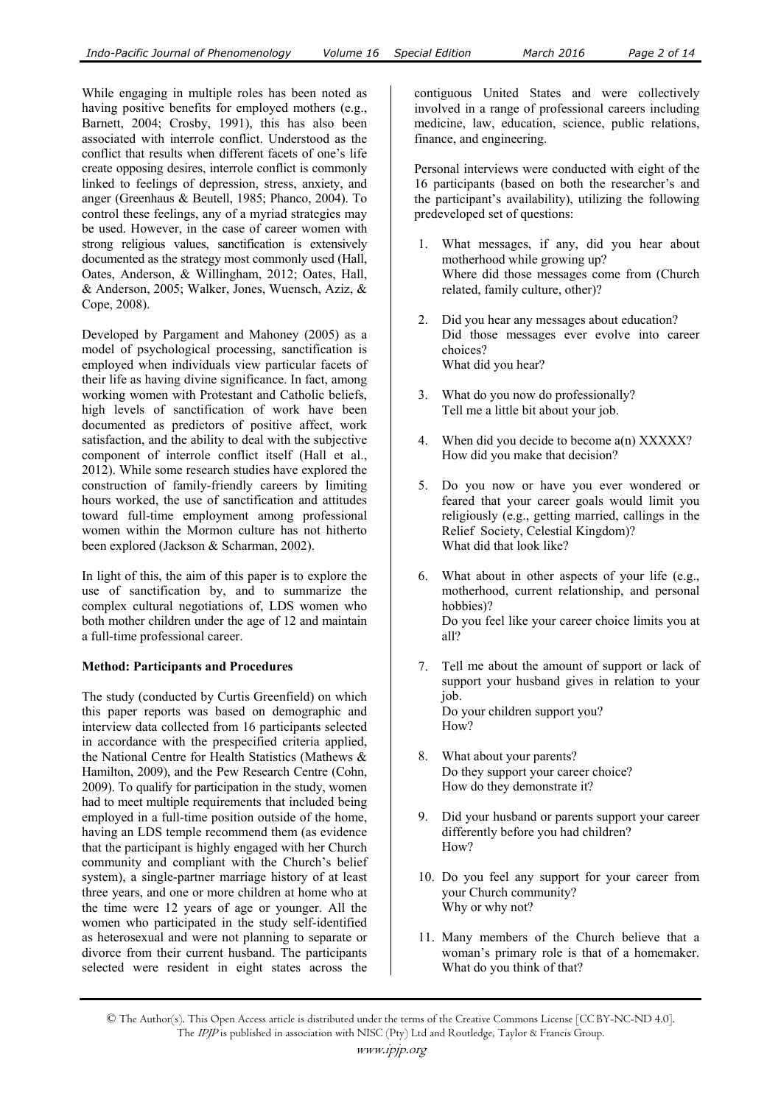While engaging in multiple roles has been noted as having positive benefits for employed mothers (e.g., Barnett, 2004; Crosby, 1991), this has also been associated with interrole conflict. Understood as the conflict that results when different facets of one's life create opposing desires, interrole conflict is commonly linked to feelings of depression, stress, anxiety, and anger (Greenhaus & Beutell, 1985; Phanco, 2004). To control these feelings, any of a myriad strategies may be used. However, in the case of career women with strong religious values, sanctification is extensively documented as the strategy most commonly used (Hall, Oates, Anderson, & Willingham, 2012; Oates, Hall, & Anderson, 2005; Walker, Jones, Wuensch, Aziz, & Cope, 2008).

Developed by Pargament and Mahoney (2005) as a model of psychological processing, sanctification is employed when individuals view particular facets of their life as having divine significance. In fact, among working women with Protestant and Catholic beliefs, high levels of sanctification of work have been documented as predictors of positive affect, work satisfaction, and the ability to deal with the subjective component of interrole conflict itself (Hall et al., 2012). While some research studies have explored the construction of family-friendly careers by limiting hours worked, the use of sanctification and attitudes toward full-time employment among professional women within the Mormon culture has not hitherto been explored (Jackson & Scharman, 2002).

In light of this, the aim of this paper is to explore the use of sanctification by, and to summarize the complex cultural negotiations of, LDS women who both mother children under the age of 12 and maintain a full-time professional career.

## **Method: Participants and Procedures**

The study (conducted by Curtis Greenfield) on which this paper reports was based on demographic and interview data collected from 16 participants selected in accordance with the prespecified criteria applied, the National Centre for Health Statistics (Mathews & Hamilton, 2009), and the Pew Research Centre (Cohn, 2009). To qualify for participation in the study, women had to meet multiple requirements that included being employed in a full-time position outside of the home, having an LDS temple recommend them (as evidence that the participant is highly engaged with her Church community and compliant with the Church's belief system), a single-partner marriage history of at least three years, and one or more children at home who at the time were 12 years of age or younger. All the women who participated in the study self-identified as heterosexual and were not planning to separate or divorce from their current husband. The participants selected were resident in eight states across the contiguous United States and were collectively involved in a range of professional careers including medicine, law, education, science, public relations, finance, and engineering.

Personal interviews were conducted with eight of the 16 participants (based on both the researcher's and the participant's availability), utilizing the following predeveloped set of questions:

- 1. What messages, if any, did you hear about motherhood while growing up? Where did those messages come from (Church related, family culture, other)?
- 2. Did you hear any messages about education? Did those messages ever evolve into career choices? What did you hear?
- 3. What do you now do professionally? Tell me a little bit about your job.
- 4. When did you decide to become a(n) XXXXX? How did you make that decision?
- 5. Do you now or have you ever wondered or feared that your career goals would limit you religiously (e.g., getting married, callings in the Relief Society, Celestial Kingdom)? What did that look like?
- 6. What about in other aspects of your life (e.g., motherhood, current relationship, and personal hobbies)? Do you feel like your career choice limits you at all?
- 7. Tell me about the amount of support or lack of support your husband gives in relation to your job. Do your children support you? How<sup>2</sup>
- 8. What about your parents? Do they support your career choice? How do they demonstrate it?
- 9. Did your husband or parents support your career differently before you had children? How?
- 10. Do you feel any support for your career from your Church community? Why or why not?
- 11. Many members of the Church believe that a woman's primary role is that of a homemaker. What do you think of that?

© The Author(s). This Open Access article is distributed under the terms of the Creative Commons License [CC BY-NC-ND 4.0]. The IPJP is published in association with NISC (Pty) Ltd and Routledge, Taylor & Francis Group.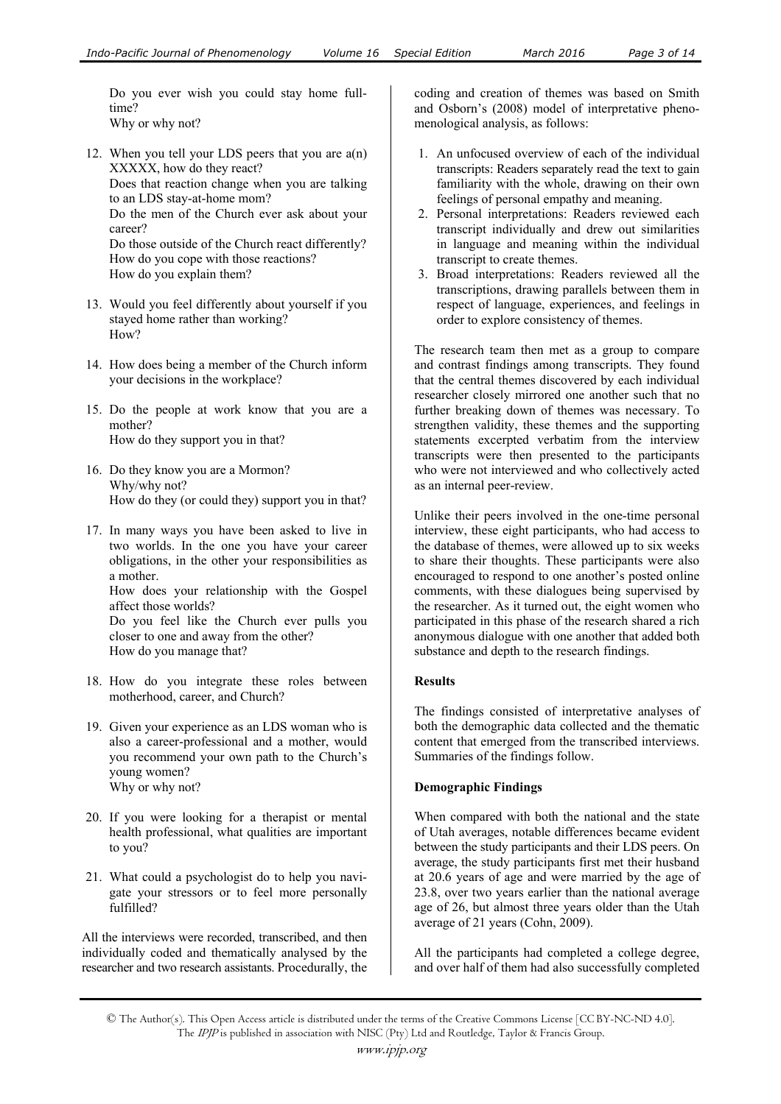Do you ever wish you could stay home fulltime? Why or why not?

- 12. When you tell your LDS peers that you are a(n) XXXXX, how do they react? Does that reaction change when you are talking to an LDS stay-at-home mom? Do the men of the Church ever ask about your career? Do those outside of the Church react differently? How do you cope with those reactions? How do you explain them?
- 13. Would you feel differently about yourself if you stayed home rather than working? How?
- 14. How does being a member of the Church inform your decisions in the workplace?
- 15. Do the people at work know that you are a mother? How do they support you in that?
- 16. Do they know you are a Mormon? Why/why not? How do they (or could they) support you in that?
- 17. In many ways you have been asked to live in two worlds. In the one you have your career obligations, in the other your responsibilities as a mother. How does your relationship with the Gospel affect those worlds? Do you feel like the Church ever pulls you closer to one and away from the other? How do you manage that?
- 18. How do you integrate these roles between motherhood, career, and Church?
- 19. Given your experience as an LDS woman who is also a career-professional and a mother, would you recommend your own path to the Church's young women? Why or why not?
- 20. If you were looking for a therapist or mental health professional, what qualities are important to you?
- 21. What could a psychologist do to help you navigate your stressors or to feel more personally fulfilled?

All the interviews were recorded, transcribed, and then individually coded and thematically analysed by the researcher and two research assistants. Procedurally, the coding and creation of themes was based on Smith and Osborn's (2008) model of interpretative phenomenological analysis, as follows:

- 1. An unfocused overview of each of the individual transcripts: Readers separately read the text to gain familiarity with the whole, drawing on their own feelings of personal empathy and meaning.
- 2. Personal interpretations: Readers reviewed each transcript individually and drew out similarities in language and meaning within the individual transcript to create themes.
- 3. Broad interpretations: Readers reviewed all the transcriptions, drawing parallels between them in respect of language, experiences, and feelings in order to explore consistency of themes.

The research team then met as a group to compare and contrast findings among transcripts. They found that the central themes discovered by each individual researcher closely mirrored one another such that no further breaking down of themes was necessary. To strengthen validity, these themes and the supporting statements excerpted verbatim from the interview transcripts were then presented to the participants who were not interviewed and who collectively acted as an internal peer-review.

Unlike their peers involved in the one-time personal interview, these eight participants, who had access to the database of themes, were allowed up to six weeks to share their thoughts. These participants were also encouraged to respond to one another's posted online comments, with these dialogues being supervised by the researcher. As it turned out, the eight women who participated in this phase of the research shared a rich anonymous dialogue with one another that added both substance and depth to the research findings.

## **Results**

The findings consisted of interpretative analyses of both the demographic data collected and the thematic content that emerged from the transcribed interviews. Summaries of the findings follow.

## **Demographic Findings**

When compared with both the national and the state of Utah averages, notable differences became evident between the study participants and their LDS peers. On average, the study participants first met their husband at 20.6 years of age and were married by the age of 23.8, over two years earlier than the national average age of 26, but almost three years older than the Utah average of 21 years (Cohn, 2009).

All the participants had completed a college degree, and over half of them had also successfully completed

<sup>©</sup> The Author(s). This Open Access article is distributed under the terms of the Creative Commons License [CC BY-NC-ND 4.0]. The IPJP is published in association with NISC (Pty) Ltd and Routledge, Taylor & Francis Group.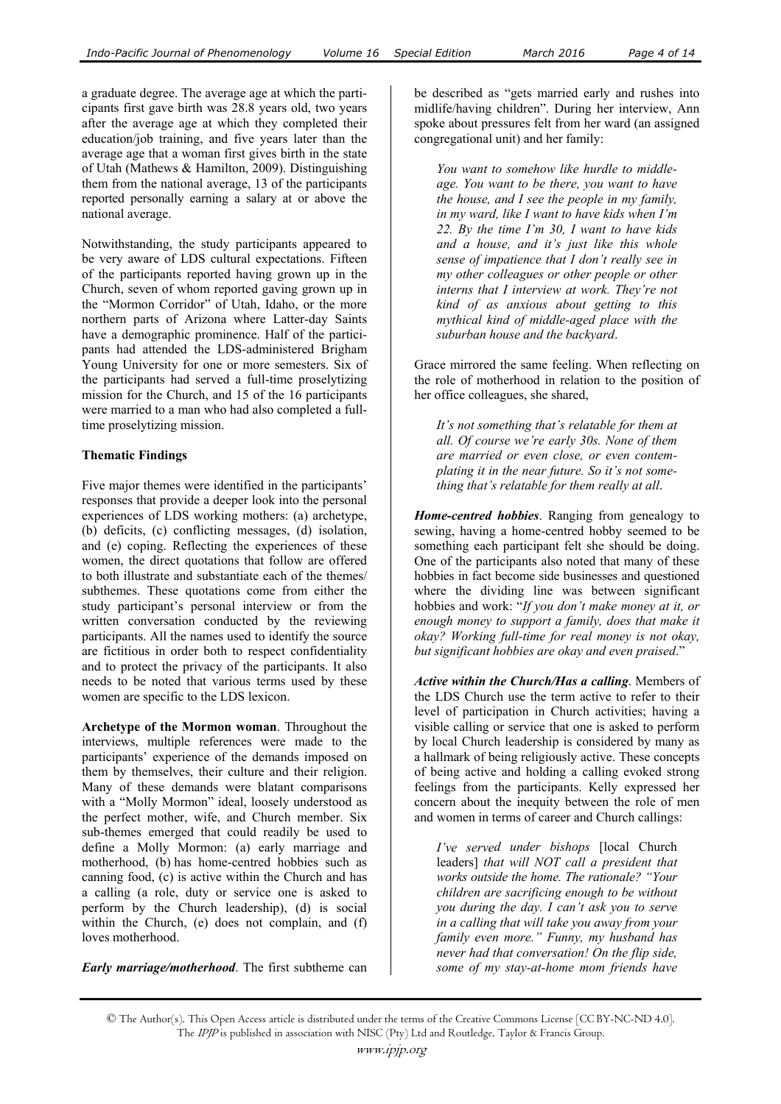a graduate degree. The average age at which the participants first gave birth was 28.8 years old, two years after the average age at which they completed their education/job training, and five years later than the average age that a woman first gives birth in the state of Utah (Mathews & Hamilton, 2009). Distinguishing them from the national average, 13 of the participants reported personally earning a salary at or above the national average.

Notwithstanding, the study participants appeared to be very aware of LDS cultural expectations. Fifteen of the participants reported having grown up in the Church, seven of whom reported gaving grown up in the "Mormon Corridor" of Utah, Idaho, or the more northern parts of Arizona where Latter-day Saints have a demographic prominence. Half of the participants had attended the LDS-administered Brigham Young University for one or more semesters. Six of the participants had served a full-time proselytizing mission for the Church, and 15 of the 16 participants were married to a man who had also completed a fulltime proselytizing mission.

## **Thematic Findings**

Five major themes were identified in the participants' responses that provide a deeper look into the personal experiences of LDS working mothers: (a) archetype, (b) deficits, (c) conflicting messages, (d) isolation, and (e) coping. Reflecting the experiences of these women, the direct quotations that follow are offered to both illustrate and substantiate each of the themes/ subthemes. These quotations come from either the study participant's personal interview or from the written conversation conducted by the reviewing participants. All the names used to identify the source are fictitious in order both to respect confidentiality and to protect the privacy of the participants. It also needs to be noted that various terms used by these women are specific to the LDS lexicon.

**Archetype of the Mormon woman**. Throughout the interviews, multiple references were made to the participants' experience of the demands imposed on them by themselves, their culture and their religion. Many of these demands were blatant comparisons with a "Molly Mormon" ideal, loosely understood as the perfect mother, wife, and Church member. Six sub-themes emerged that could readily be used to define a Molly Mormon: (a) early marriage and motherhood, (b) has home-centred hobbies such as canning food, (c) is active within the Church and has a calling (a role, duty or service one is asked to perform by the Church leadership), (d) is social within the Church, (e) does not complain, and (f) loves motherhood.

*Early marriage/motherhood*. The first subtheme can

be described as "gets married early and rushes into midlife/having children". During her interview, Ann spoke about pressures felt from her ward (an assigned congregational unit) and her family:

*You want to somehow like hurdle to middleage. You want to be there, you want to have the house, and I see the people in my family, in my ward, like I want to have kids when I'm 22. By the time I'm 30, I want to have kids and a house, and it's just like this whole sense of impatience that I don't really see in my other colleagues or other people or other interns that I interview at work. They're not kind of as anxious about getting to this mythical kind of middle-aged place with the suburban house and the backyard*.

Grace mirrored the same feeling. When reflecting on the role of motherhood in relation to the position of her office colleagues, she shared,

*It's not something that's relatable for them at all. Of course we're early 30s. None of them are married or even close, or even contemplating it in the near future. So it's not something that's relatable for them really at all*.

*Home-centred hobbies*. Ranging from genealogy to sewing, having a home-centred hobby seemed to be something each participant felt she should be doing. One of the participants also noted that many of these hobbies in fact become side businesses and questioned where the dividing line was between significant hobbies and work: "*If you don't make money at it, or enough money to support a family, does that make it okay? Working full-time for real money is not okay, but significant hobbies are okay and even praised*."

*Active within the Church/Has a calling*. Members of the LDS Church use the term active to refer to their level of participation in Church activities; having a visible calling or service that one is asked to perform by local Church leadership is considered by many as a hallmark of being religiously active. These concepts of being active and holding a calling evoked strong feelings from the participants. Kelly expressed her concern about the inequity between the role of men and women in terms of career and Church callings:

*I've served under bishops* [local Church leaders] *that will NOT call a president that works outside the home. The rationale? "Your children are sacrificing enough to be without you during the day. I can't ask you to serve in a calling that will take you away from your family even more." Funny, my husband has never had that conversation! On the flip side, some of my stay-at-home mom friends have* 

© The Author(s). This Open Access article is distributed under the terms of the Creative Commons License [CC BY-NC-ND 4.0]. The IPJP is published in association with NISC (Pty) Ltd and Routledge, Taylor & Francis Group.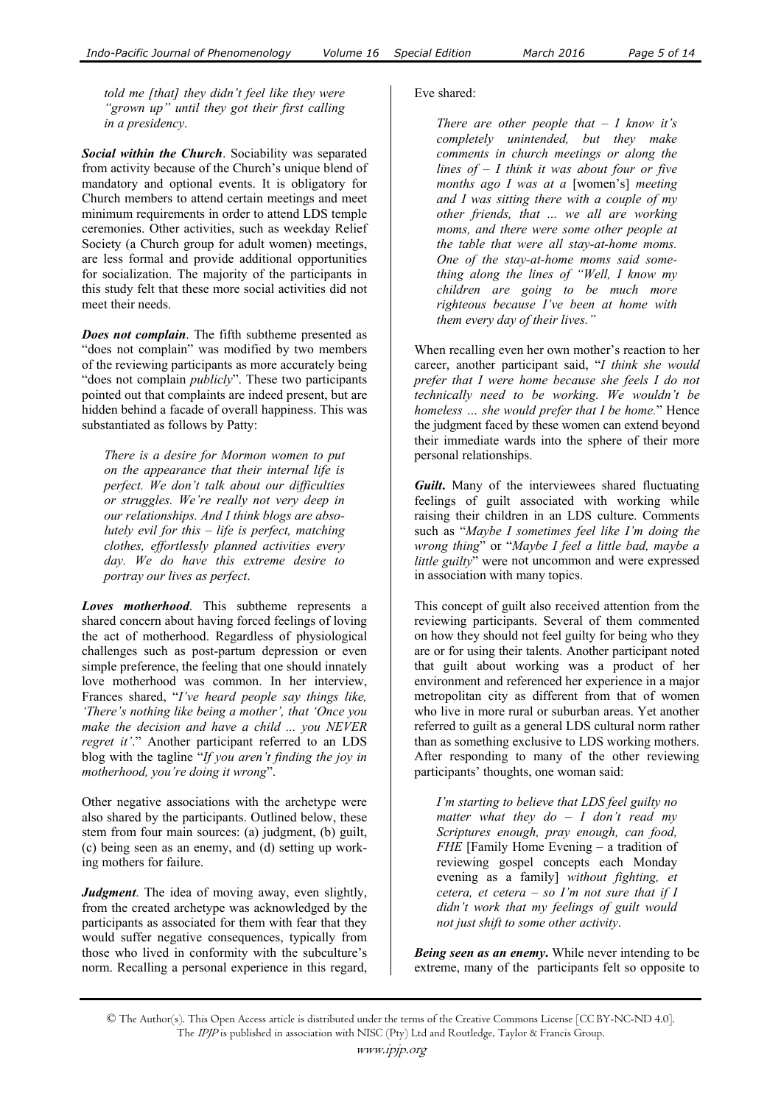*told me [that] they didn't feel like they were "grown up" until they got their first calling in a presidency*.

*Social within the Church*. Sociability was separated from activity because of the Church's unique blend of mandatory and optional events. It is obligatory for Church members to attend certain meetings and meet minimum requirements in order to attend LDS temple ceremonies. Other activities, such as weekday Relief Society (a Church group for adult women) meetings, are less formal and provide additional opportunities for socialization. The majority of the participants in this study felt that these more social activities did not meet their needs.

*Does not complain*. The fifth subtheme presented as "does not complain" was modified by two members of the reviewing participants as more accurately being "does not complain *publicly*". These two participants pointed out that complaints are indeed present, but are hidden behind a facade of overall happiness. This was substantiated as follows by Patty:

*There is a desire for Mormon women to put on the appearance that their internal life is perfect. We don't talk about our difficulties or struggles. We're really not very deep in our relationships. And I think blogs are absolutely evil for this – life is perfect, matching clothes, effortlessly planned activities every day. We do have this extreme desire to portray our lives as perfect*.

*Loves motherhood*. This subtheme represents a shared concern about having forced feelings of loving the act of motherhood. Regardless of physiological challenges such as post-partum depression or even simple preference, the feeling that one should innately love motherhood was common. In her interview, Frances shared, "*I've heard people say things like, 'There's nothing like being a mother', that 'Once you make the decision and have a child ... you NEVER regret it'*." Another participant referred to an LDS blog with the tagline "*If you aren't finding the joy in motherhood, you're doing it wrong*".

Other negative associations with the archetype were also shared by the participants. Outlined below, these stem from four main sources: (a) judgment, (b) guilt, (c) being seen as an enemy, and (d) setting up working mothers for failure.

*Judgment*. The idea of moving away, even slightly, from the created archetype was acknowledged by the participants as associated for them with fear that they would suffer negative consequences, typically from those who lived in conformity with the subculture's norm. Recalling a personal experience in this regard,

#### Eve shared:

*There are other people that – I know it's completely unintended, but they make comments in church meetings or along the lines of – I think it was about four or five months ago I was at a* [women's] *meeting and I was sitting there with a couple of my other friends, that ... we all are working moms, and there were some other people at the table that were all stay-at-home moms. One of the stay-at-home moms said something along the lines of "Well, I know my children are going to be much more righteous because I've been at home with them every day of their lives."*

When recalling even her own mother's reaction to her career, another participant said, "*I think she would prefer that I were home because she feels I do not technically need to be working. We wouldn't be homeless … she would prefer that I be home.*" Hence the judgment faced by these women can extend beyond their immediate wards into the sphere of their more personal relationships.

*Guilt***.** Many of the interviewees shared fluctuating feelings of guilt associated with working while raising their children in an LDS culture. Comments such as "*Maybe I sometimes feel like I'm doing the wrong thing*" or "*Maybe I feel a little bad, maybe a little guilty*" were not uncommon and were expressed in association with many topics.

This concept of guilt also received attention from the reviewing participants. Several of them commented on how they should not feel guilty for being who they are or for using their talents. Another participant noted that guilt about working was a product of her environment and referenced her experience in a major metropolitan city as different from that of women who live in more rural or suburban areas. Yet another referred to guilt as a general LDS cultural norm rather than as something exclusive to LDS working mothers. After responding to many of the other reviewing participants' thoughts, one woman said:

*I'm starting to believe that LDS feel guilty no matter what they do – I don't read my Scriptures enough, pray enough, can food, FHE* [Family Home Evening – a tradition of reviewing gospel concepts each Monday evening as a family] *without fighting, et cetera, et cetera – so I'm not sure that if I didn't work that my feelings of guilt would not just shift to some other activity*.

*Being seen as an enemy***.** While never intending to be extreme, many of the participants felt so opposite to

<sup>©</sup> The Author(s). This Open Access article is distributed under the terms of the Creative Commons License [CC BY-NC-ND 4.0]. The IPJP is published in association with NISC (Pty) Ltd and Routledge, Taylor & Francis Group.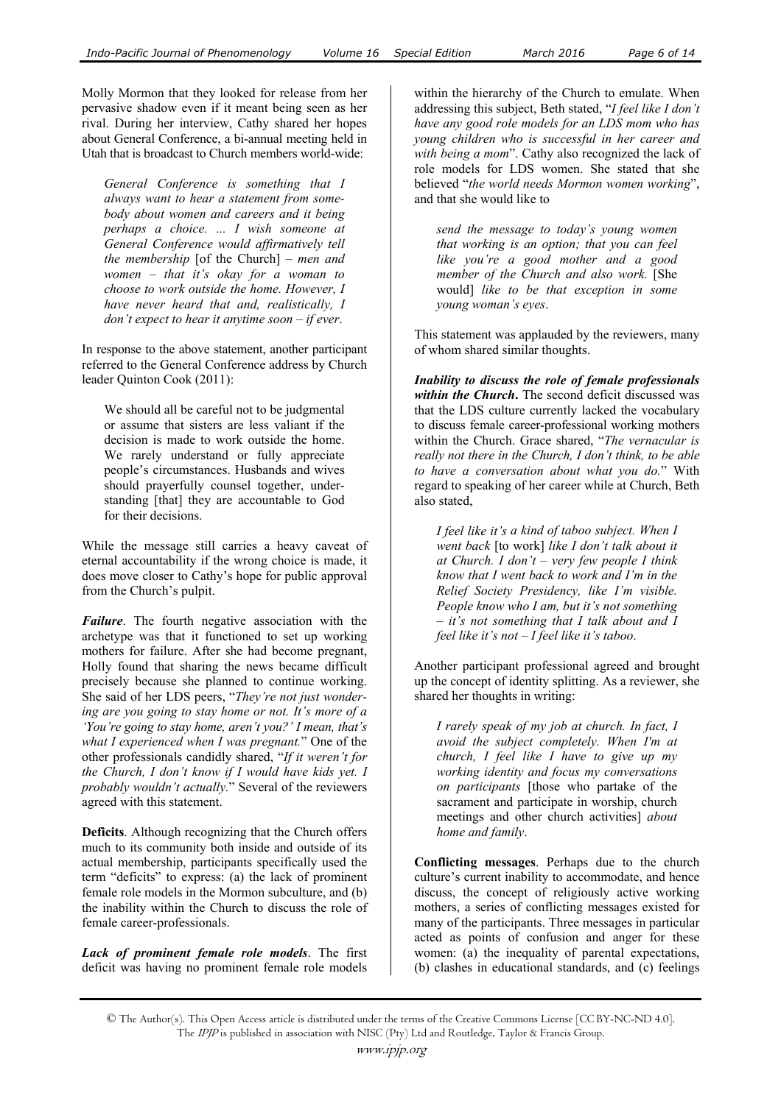Molly Mormon that they looked for release from her pervasive shadow even if it meant being seen as her rival. During her interview, Cathy shared her hopes about General Conference, a bi-annual meeting held in Utah that is broadcast to Church members world-wide:

*General Conference is something that I always want to hear a statement from somebody about women and careers and it being perhaps a choice. ... I wish someone at General Conference would affirmatively tell the membership* [of the Church] *– men and women – that it's okay for a woman to choose to work outside the home. However, I have never heard that and, realistically, I don't expect to hear it anytime soon – if ever*.

In response to the above statement, another participant referred to the General Conference address by Church leader Quinton Cook (2011):

We should all be careful not to be judgmental or assume that sisters are less valiant if the decision is made to work outside the home. We rarely understand or fully appreciate people's circumstances. Husbands and wives should prayerfully counsel together, understanding [that] they are accountable to God for their decisions.

While the message still carries a heavy caveat of eternal accountability if the wrong choice is made, it does move closer to Cathy's hope for public approval from the Church's pulpit.

*Failure*. The fourth negative association with the archetype was that it functioned to set up working mothers for failure. After she had become pregnant, Holly found that sharing the news became difficult precisely because she planned to continue working. She said of her LDS peers, "*They're not just wondering are you going to stay home or not. It's more of a 'You're going to stay home, aren't you?' I mean, that's what I experienced when I was pregnant.*" One of the other professionals candidly shared, "*If it weren't for the Church, I don't know if I would have kids yet. I probably wouldn't actually.*" Several of the reviewers agreed with this statement.

**Deficits**. Although recognizing that the Church offers much to its community both inside and outside of its actual membership, participants specifically used the term "deficits" to express: (a) the lack of prominent female role models in the Mormon subculture, and (b) the inability within the Church to discuss the role of female career-professionals.

*Lack of prominent female role models*. The first deficit was having no prominent female role models

within the hierarchy of the Church to emulate. When addressing this subject, Beth stated, "*I feel like I don't have any good role models for an LDS mom who has young children who is successful in her career and with being a mom*". Cathy also recognized the lack of role models for LDS women. She stated that she believed "*the world needs Mormon women working*", and that she would like to

*send the message to today's young women that working is an option; that you can feel like you're a good mother and a good member of the Church and also work.* [She would] *like to be that exception in some young woman's eyes*.

This statement was applauded by the reviewers, many of whom shared similar thoughts.

*Inability to discuss the role of female professionals within the Church***.** The second deficit discussed was that the LDS culture currently lacked the vocabulary to discuss female career-professional working mothers within the Church. Grace shared, "*The vernacular is really not there in the Church, I don't think, to be able to have a conversation about what you do.*" With regard to speaking of her career while at Church, Beth also stated,

*I feel like it's a kind of taboo subject. When I went back* [to work] *like I don't talk about it at Church. I don't – very few people I think know that I went back to work and I'm in the Relief Society Presidency, like I'm visible. People know who I am, but it's not something – it's not something that I talk about and I feel like it's not – I feel like it's taboo*.

Another participant professional agreed and brought up the concept of identity splitting. As a reviewer, she shared her thoughts in writing:

*I rarely speak of my job at church. In fact, I avoid the subject completely. When I'm at church, I feel like I have to give up my working identity and focus my conversations on participants* [those who partake of the sacrament and participate in worship, church meetings and other church activities] *about home and family*.

**Conflicting messages**. Perhaps due to the church culture's current inability to accommodate, and hence discuss, the concept of religiously active working mothers, a series of conflicting messages existed for many of the participants. Three messages in particular acted as points of confusion and anger for these women: (a) the inequality of parental expectations, (b) clashes in educational standards, and (c) feelings

© The Author(s). This Open Access article is distributed under the terms of the Creative Commons License [CC BY-NC-ND 4.0]. The IPJP is published in association with NISC (Pty) Ltd and Routledge, Taylor & Francis Group.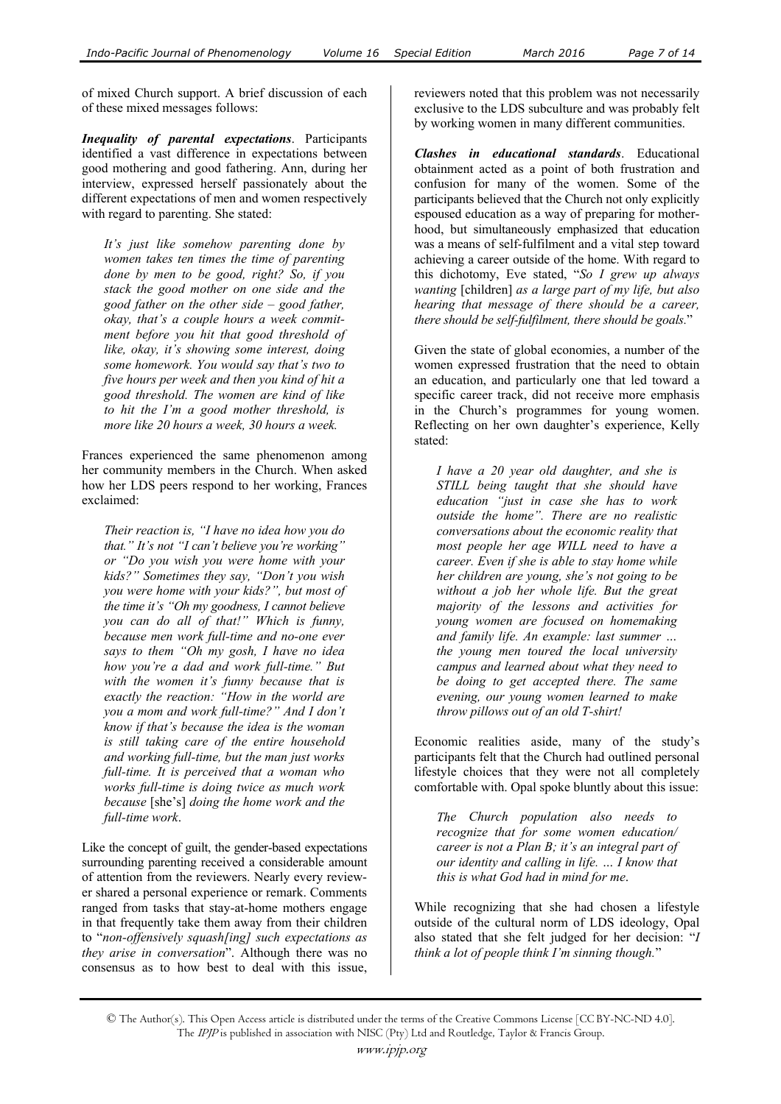of mixed Church support. A brief discussion of each of these mixed messages follows:

*Inequality of parental expectations*. Participants identified a vast difference in expectations between good mothering and good fathering. Ann, during her interview, expressed herself passionately about the different expectations of men and women respectively with regard to parenting. She stated:

*It's just like somehow parenting done by women takes ten times the time of parenting done by men to be good, right? So, if you stack the good mother on one side and the good father on the other side – good father, okay, that's a couple hours a week commitment before you hit that good threshold of like, okay, it's showing some interest, doing some homework. You would say that's two to five hours per week and then you kind of hit a good threshold. The women are kind of like to hit the I'm a good mother threshold, is more like 20 hours a week, 30 hours a week.* 

Frances experienced the same phenomenon among her community members in the Church. When asked how her LDS peers respond to her working, Frances exclaimed:

*Their reaction is, "I have no idea how you do that." It's not "I can't believe you're working" or "Do you wish you were home with your kids?" Sometimes they say, "Don't you wish you were home with your kids?", but most of the time it's "Oh my goodness, I cannot believe you can do all of that!" Which is funny, because men work full-time and no-one ever says to them "Oh my gosh, I have no idea how you're a dad and work full-time." But with the women it's funny because that is exactly the reaction: "How in the world are you a mom and work full-time?" And I don't know if that's because the idea is the woman is still taking care of the entire household and working full-time, but the man just works full-time. It is perceived that a woman who works full-time is doing twice as much work because* [she's] *doing the home work and the full-time work*.

Like the concept of guilt, the gender-based expectations surrounding parenting received a considerable amount of attention from the reviewers. Nearly every reviewer shared a personal experience or remark. Comments ranged from tasks that stay-at-home mothers engage in that frequently take them away from their children to "*non-offensively squash[ing] such expectations as they arise in conversation*". Although there was no consensus as to how best to deal with this issue, reviewers noted that this problem was not necessarily exclusive to the LDS subculture and was probably felt by working women in many different communities.

*Clashes in educational standards*. Educational obtainment acted as a point of both frustration and confusion for many of the women. Some of the participants believed that the Church not only explicitly espoused education as a way of preparing for motherhood, but simultaneously emphasized that education was a means of self-fulfilment and a vital step toward achieving a career outside of the home. With regard to this dichotomy, Eve stated, "*So I grew up always wanting* [children] *as a large part of my life, but also hearing that message of there should be a career, there should be self-fulfilment, there should be goals.*"

Given the state of global economies, a number of the women expressed frustration that the need to obtain an education, and particularly one that led toward a specific career track, did not receive more emphasis in the Church's programmes for young women. Reflecting on her own daughter's experience, Kelly stated:

*I have a 20 year old daughter, and she is STILL being taught that she should have education "just in case she has to work outside the home". There are no realistic conversations about the economic reality that most people her age WILL need to have a career. Even if she is able to stay home while her children are young, she's not going to be without a job her whole life. But the great majority of the lessons and activities for young women are focused on homemaking and family life. An example: last summer … the young men toured the local university campus and learned about what they need to be doing to get accepted there. The same evening, our young women learned to make throw pillows out of an old T-shirt!* 

Economic realities aside, many of the study's participants felt that the Church had outlined personal lifestyle choices that they were not all completely comfortable with. Opal spoke bluntly about this issue:

*The Church population also needs to recognize that for some women education/ career is not a Plan B; it's an integral part of our identity and calling in life. … I know that this is what God had in mind for me*.

While recognizing that she had chosen a lifestyle outside of the cultural norm of LDS ideology, Opal also stated that she felt judged for her decision: "*I think a lot of people think I'm sinning though.*"

<sup>©</sup> The Author(s). This Open Access article is distributed under the terms of the Creative Commons License [CC BY-NC-ND 4.0]. The IPJP is published in association with NISC (Pty) Ltd and Routledge, Taylor & Francis Group.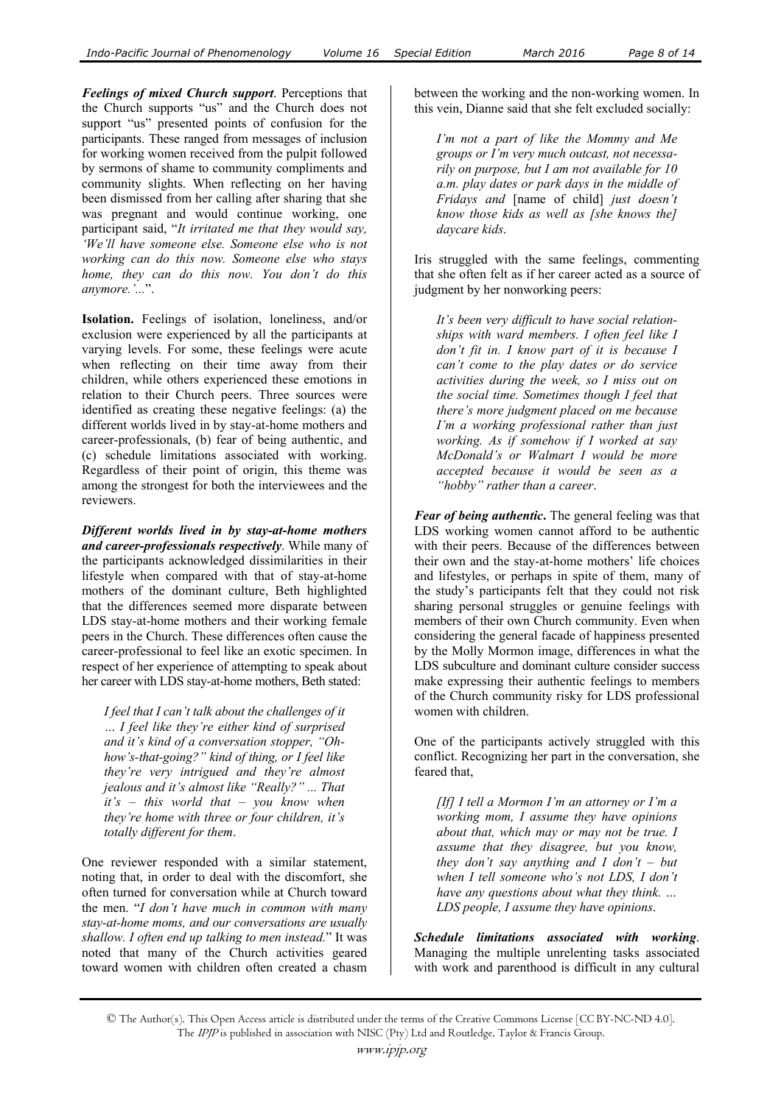*Feelings of mixed Church support*. Perceptions that the Church supports "us" and the Church does not support "us" presented points of confusion for the participants. These ranged from messages of inclusion for working women received from the pulpit followed by sermons of shame to community compliments and community slights. When reflecting on her having been dismissed from her calling after sharing that she was pregnant and would continue working, one participant said, "*It irritated me that they would say, 'We'll have someone else. Someone else who is not working can do this now. Someone else who stays home, they can do this now. You don't do this anymore.'...*".

**Isolation.** Feelings of isolation, loneliness, and/or exclusion were experienced by all the participants at varying levels. For some, these feelings were acute when reflecting on their time away from their children, while others experienced these emotions in relation to their Church peers. Three sources were identified as creating these negative feelings: (a) the different worlds lived in by stay-at-home mothers and career-professionals, (b) fear of being authentic, and (c) schedule limitations associated with working. Regardless of their point of origin, this theme was among the strongest for both the interviewees and the reviewers.

*Different worlds lived in by stay-at-home mothers and career-professionals respectively*. While many of the participants acknowledged dissimilarities in their lifestyle when compared with that of stay-at-home mothers of the dominant culture, Beth highlighted that the differences seemed more disparate between LDS stay-at-home mothers and their working female peers in the Church. These differences often cause the career-professional to feel like an exotic specimen. In respect of her experience of attempting to speak about her career with LDS stay-at-home mothers, Beth stated:

*I feel that I can't talk about the challenges of it … I feel like they're either kind of surprised and it's kind of a conversation stopper, "Ohhow's-that-going?" kind of thing, or I feel like they're very intrigued and they're almost jealous and it's almost like "Really?" ... That it's – this world that – you know when they're home with three or four children, it's totally different for them*.

One reviewer responded with a similar statement, noting that, in order to deal with the discomfort, she often turned for conversation while at Church toward the men. "*I don't have much in common with many stay-at-home moms, and our conversations are usually shallow. I often end up talking to men instead.*" It was noted that many of the Church activities geared toward women with children often created a chasm between the working and the non-working women. In this vein, Dianne said that she felt excluded socially:

*I'm not a part of like the Mommy and Me groups or I'm very much outcast, not necessarily on purpose, but I am not available for 10 a.m. play dates or park days in the middle of Fridays and* [name of child] *just doesn't know those kids as well as [she knows the] daycare kids*.

Iris struggled with the same feelings, commenting that she often felt as if her career acted as a source of judgment by her nonworking peers:

*It's been very difficult to have social relationships with ward members. I often feel like I don't fit in. I know part of it is because I can't come to the play dates or do service activities during the week, so I miss out on the social time. Sometimes though I feel that there's more judgment placed on me because I'm a working professional rather than just working. As if somehow if I worked at say McDonald's or Walmart I would be more accepted because it would be seen as a "hobby" rather than a career*.

*Fear of being authentic***.** The general feeling was that LDS working women cannot afford to be authentic with their peers. Because of the differences between their own and the stay-at-home mothers' life choices and lifestyles, or perhaps in spite of them, many of the study's participants felt that they could not risk sharing personal struggles or genuine feelings with members of their own Church community. Even when considering the general facade of happiness presented by the Molly Mormon image, differences in what the LDS subculture and dominant culture consider success make expressing their authentic feelings to members of the Church community risky for LDS professional women with children.

One of the participants actively struggled with this conflict. Recognizing her part in the conversation, she feared that,

*[If] I tell a Mormon I'm an attorney or I'm a working mom, I assume they have opinions about that, which may or may not be true. I assume that they disagree, but you know, they don't say anything and I don't – but when I tell someone who's not LDS, I don't have any questions about what they think. … LDS people, I assume they have opinions*.

*Schedule limitations associated with working*. Managing the multiple unrelenting tasks associated with work and parenthood is difficult in any cultural

<sup>©</sup> The Author(s). This Open Access article is distributed under the terms of the Creative Commons License [CC BY-NC-ND 4.0]. The IPJP is published in association with NISC (Pty) Ltd and Routledge, Taylor & Francis Group.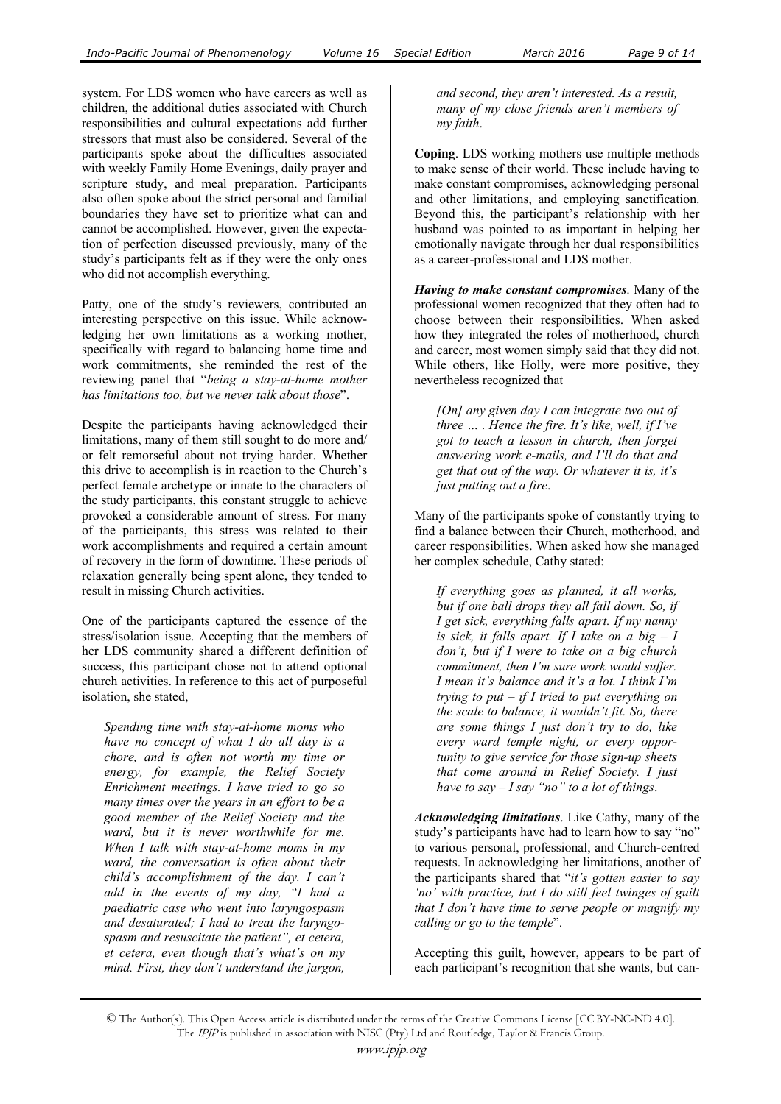system. For LDS women who have careers as well as children, the additional duties associated with Church responsibilities and cultural expectations add further stressors that must also be considered. Several of the participants spoke about the difficulties associated with weekly Family Home Evenings, daily prayer and scripture study, and meal preparation. Participants also often spoke about the strict personal and familial boundaries they have set to prioritize what can and cannot be accomplished. However, given the expectation of perfection discussed previously, many of the study's participants felt as if they were the only ones who did not accomplish everything.

Patty, one of the study's reviewers, contributed an interesting perspective on this issue. While acknowledging her own limitations as a working mother, specifically with regard to balancing home time and work commitments, she reminded the rest of the reviewing panel that "*being a stay-at-home mother has limitations too, but we never talk about those*".

Despite the participants having acknowledged their limitations, many of them still sought to do more and/ or felt remorseful about not trying harder. Whether this drive to accomplish is in reaction to the Church's perfect female archetype or innate to the characters of the study participants, this constant struggle to achieve provoked a considerable amount of stress. For many of the participants, this stress was related to their work accomplishments and required a certain amount of recovery in the form of downtime. These periods of relaxation generally being spent alone, they tended to result in missing Church activities.

One of the participants captured the essence of the stress/isolation issue. Accepting that the members of her LDS community shared a different definition of success, this participant chose not to attend optional church activities. In reference to this act of purposeful isolation, she stated,

*Spending time with stay-at-home moms who have no concept of what I do all day is a chore, and is often not worth my time or energy, for example, the Relief Society Enrichment meetings. I have tried to go so many times over the years in an effort to be a good member of the Relief Society and the ward, but it is never worthwhile for me. When I talk with stay-at-home moms in my ward, the conversation is often about their child's accomplishment of the day. I can't add in the events of my day, "I had a paediatric case who went into laryngospasm and desaturated; I had to treat the laryngospasm and resuscitate the patient", et cetera, et cetera, even though that's what's on my mind. First, they don't understand the jargon,* 

*and second, they aren't interested. As a result, many of my close friends aren't members of my faith*.

**Coping**. LDS working mothers use multiple methods to make sense of their world. These include having to make constant compromises, acknowledging personal and other limitations, and employing sanctification. Beyond this, the participant's relationship with her husband was pointed to as important in helping her emotionally navigate through her dual responsibilities as a career-professional and LDS mother.

*Having to make constant compromises*. Many of the professional women recognized that they often had to choose between their responsibilities. When asked how they integrated the roles of motherhood, church and career, most women simply said that they did not. While others, like Holly, were more positive, they nevertheless recognized that

*[On] any given day I can integrate two out of three … . Hence the fire. It's like, well, if I've got to teach a lesson in church, then forget answering work e-mails, and I'll do that and get that out of the way. Or whatever it is, it's just putting out a fire*.

Many of the participants spoke of constantly trying to find a balance between their Church, motherhood, and career responsibilities. When asked how she managed her complex schedule, Cathy stated:

*If everything goes as planned, it all works, but if one ball drops they all fall down. So, if I get sick, everything falls apart. If my nanny is sick, it falls apart. If I take on a big – I don't, but if I were to take on a big church commitment, then I'm sure work would suffer. I mean it's balance and it's a lot. I think I'm trying to put – if I tried to put everything on the scale to balance, it wouldn't fit. So, there are some things I just don't try to do, like every ward temple night, or every opportunity to give service for those sign-up sheets that come around in Relief Society. I just have to say – I say "no" to a lot of things*.

*Acknowledging limitations*. Like Cathy, many of the study's participants have had to learn how to say "no" to various personal, professional, and Church-centred requests. In acknowledging her limitations, another of the participants shared that "*it's gotten easier to say 'no' with practice, but I do still feel twinges of guilt that I don't have time to serve people or magnify my calling or go to the temple*".

Accepting this guilt, however, appears to be part of each participant's recognition that she wants, but can-

<sup>©</sup> The Author(s). This Open Access article is distributed under the terms of the Creative Commons License [CC BY-NC-ND 4.0]. The IPJP is published in association with NISC (Pty) Ltd and Routledge, Taylor & Francis Group.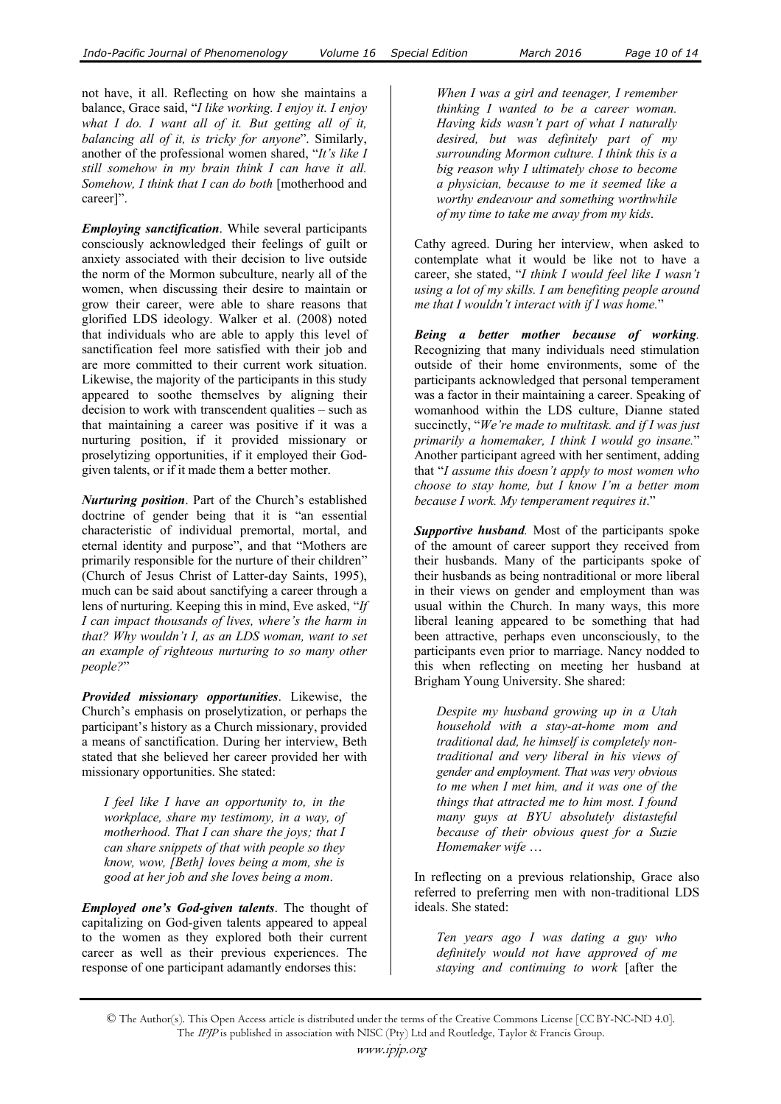not have, it all. Reflecting on how she maintains a balance, Grace said, "*I like working. I enjoy it. I enjoy what I do. I want all of it. But getting all of it, balancing all of it, is tricky for anyone*". Similarly, another of the professional women shared, "*It's like I still somehow in my brain think I can have it all. Somehow, I think that I can do both* [motherhood and career]".

*Employing sanctification*. While several participants consciously acknowledged their feelings of guilt or anxiety associated with their decision to live outside the norm of the Mormon subculture, nearly all of the women, when discussing their desire to maintain or grow their career, were able to share reasons that glorified LDS ideology. Walker et al. (2008) noted that individuals who are able to apply this level of sanctification feel more satisfied with their job and are more committed to their current work situation. Likewise, the majority of the participants in this study appeared to soothe themselves by aligning their decision to work with transcendent qualities – such as that maintaining a career was positive if it was a nurturing position, if it provided missionary or proselytizing opportunities, if it employed their Godgiven talents, or if it made them a better mother.

*Nurturing position*. Part of the Church's established doctrine of gender being that it is "an essential characteristic of individual premortal, mortal, and eternal identity and purpose", and that "Mothers are primarily responsible for the nurture of their children" (Church of Jesus Christ of Latter-day Saints, 1995), much can be said about sanctifying a career through a lens of nurturing. Keeping this in mind, Eve asked, "*If I can impact thousands of lives, where's the harm in that? Why wouldn't I, as an LDS woman, want to set an example of righteous nurturing to so many other people?*"

*Provided missionary opportunities*. Likewise, the Church's emphasis on proselytization, or perhaps the participant's history as a Church missionary, provided a means of sanctification. During her interview, Beth stated that she believed her career provided her with missionary opportunities. She stated:

*I feel like I have an opportunity to, in the workplace, share my testimony, in a way, of motherhood. That I can share the joys; that I can share snippets of that with people so they know, wow, [Beth] loves being a mom, she is good at her job and she loves being a mom*.

*Employed one's God-given talents*. The thought of capitalizing on God-given talents appeared to appeal to the women as they explored both their current career as well as their previous experiences. The response of one participant adamantly endorses this:

*When I was a girl and teenager, I remember thinking I wanted to be a career woman. Having kids wasn't part of what I naturally desired, but was definitely part of my surrounding Mormon culture. I think this is a big reason why I ultimately chose to become a physician, because to me it seemed like a worthy endeavour and something worthwhile of my time to take me away from my kids*.

Cathy agreed. During her interview, when asked to contemplate what it would be like not to have a career, she stated, "*I think I would feel like I wasn't using a lot of my skills. I am benefiting people around me that I wouldn't interact with if I was home.*"

*Being a better mother because of working.* Recognizing that many individuals need stimulation outside of their home environments, some of the participants acknowledged that personal temperament was a factor in their maintaining a career. Speaking of womanhood within the LDS culture, Dianne stated succinctly, "*We're made to multitask. and if I was just primarily a homemaker, I think I would go insane.*" Another participant agreed with her sentiment, adding that "*I assume this doesn't apply to most women who choose to stay home, but I know I'm a better mom because I work. My temperament requires it*."

*Supportive husband.* Most of the participants spoke of the amount of career support they received from their husbands. Many of the participants spoke of their husbands as being nontraditional or more liberal in their views on gender and employment than was usual within the Church. In many ways, this more liberal leaning appeared to be something that had been attractive, perhaps even unconsciously, to the participants even prior to marriage. Nancy nodded to this when reflecting on meeting her husband at Brigham Young University. She shared:

*Despite my husband growing up in a Utah household with a stay-at-home mom and traditional dad, he himself is completely nontraditional and very liberal in his views of gender and employment. That was very obvious to me when I met him, and it was one of the things that attracted me to him most. I found many guys at BYU absolutely distasteful because of their obvious quest for a Suzie Homemaker wife* …

In reflecting on a previous relationship, Grace also referred to preferring men with non-traditional LDS ideals. She stated:

*Ten years ago I was dating a guy who definitely would not have approved of me staying and continuing to work* [after the

<sup>©</sup> The Author(s). This Open Access article is distributed under the terms of the Creative Commons License [CC BY-NC-ND 4.0]. The IPJP is published in association with NISC (Pty) Ltd and Routledge, Taylor & Francis Group.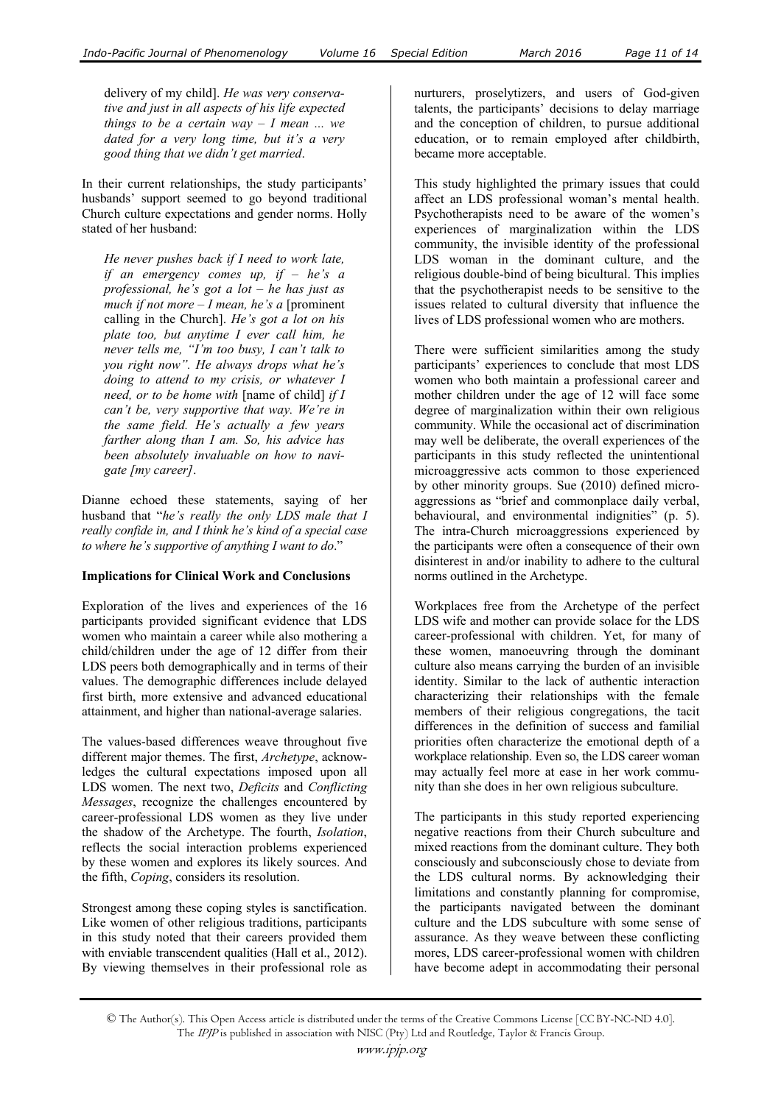delivery of my child]. *He was very conservative and just in all aspects of his life expected things to be a certain way – I mean ... we dated for a very long time, but it's a very good thing that we didn't get married*.

In their current relationships, the study participants' husbands' support seemed to go beyond traditional Church culture expectations and gender norms. Holly stated of her husband:

*He never pushes back if I need to work late, if an emergency comes up, if – he's a professional, he's got a lot – he has just as much if not more – I mean, he's a* [prominent calling in the Church]. *He's got a lot on his plate too, but anytime I ever call him, he never tells me, "I'm too busy, I can't talk to you right now". He always drops what he's doing to attend to my crisis, or whatever I need, or to be home with* [name of child] *if I can't be, very supportive that way. We're in the same field. He's actually a few years farther along than I am. So, his advice has been absolutely invaluable on how to navigate [my career]*.

Dianne echoed these statements, saying of her husband that "*he's really the only LDS male that I really confide in, and I think he's kind of a special case to where he's supportive of anything I want to do*."

### **Implications for Clinical Work and Conclusions**

Exploration of the lives and experiences of the 16 participants provided significant evidence that LDS women who maintain a career while also mothering a child/children under the age of 12 differ from their LDS peers both demographically and in terms of their values. The demographic differences include delayed first birth, more extensive and advanced educational attainment, and higher than national-average salaries.

The values-based differences weave throughout five different major themes. The first, *Archetype*, acknowledges the cultural expectations imposed upon all LDS women. The next two, *Deficits* and *Conflicting Messages*, recognize the challenges encountered by career-professional LDS women as they live under the shadow of the Archetype. The fourth, *Isolation*, reflects the social interaction problems experienced by these women and explores its likely sources. And the fifth, *Coping*, considers its resolution.

Strongest among these coping styles is sanctification. Like women of other religious traditions, participants in this study noted that their careers provided them with enviable transcendent qualities (Hall et al., 2012). By viewing themselves in their professional role as nurturers, proselytizers, and users of God-given talents, the participants' decisions to delay marriage and the conception of children, to pursue additional education, or to remain employed after childbirth, became more acceptable.

This study highlighted the primary issues that could affect an LDS professional woman's mental health. Psychotherapists need to be aware of the women's experiences of marginalization within the LDS community, the invisible identity of the professional LDS woman in the dominant culture, and the religious double-bind of being bicultural. This implies that the psychotherapist needs to be sensitive to the issues related to cultural diversity that influence the lives of LDS professional women who are mothers.

There were sufficient similarities among the study participants' experiences to conclude that most LDS women who both maintain a professional career and mother children under the age of 12 will face some degree of marginalization within their own religious community. While the occasional act of discrimination may well be deliberate, the overall experiences of the participants in this study reflected the unintentional microaggressive acts common to those experienced by other minority groups. Sue (2010) defined microaggressions as "brief and commonplace daily verbal, behavioural, and environmental indignities" (p. 5). The intra-Church microaggressions experienced by the participants were often a consequence of their own disinterest in and/or inability to adhere to the cultural norms outlined in the Archetype.

Workplaces free from the Archetype of the perfect LDS wife and mother can provide solace for the LDS career-professional with children. Yet, for many of these women, manoeuvring through the dominant culture also means carrying the burden of an invisible identity. Similar to the lack of authentic interaction characterizing their relationships with the female members of their religious congregations, the tacit differences in the definition of success and familial priorities often characterize the emotional depth of a workplace relationship. Even so, the LDS career woman may actually feel more at ease in her work community than she does in her own religious subculture.

The participants in this study reported experiencing negative reactions from their Church subculture and mixed reactions from the dominant culture. They both consciously and subconsciously chose to deviate from the LDS cultural norms. By acknowledging their limitations and constantly planning for compromise, the participants navigated between the dominant culture and the LDS subculture with some sense of assurance. As they weave between these conflicting mores, LDS career-professional women with children have become adept in accommodating their personal

<sup>©</sup> The Author(s). This Open Access article is distributed under the terms of the Creative Commons License [CC BY-NC-ND 4.0]. The IPJP is published in association with NISC (Pty) Ltd and Routledge, Taylor & Francis Group.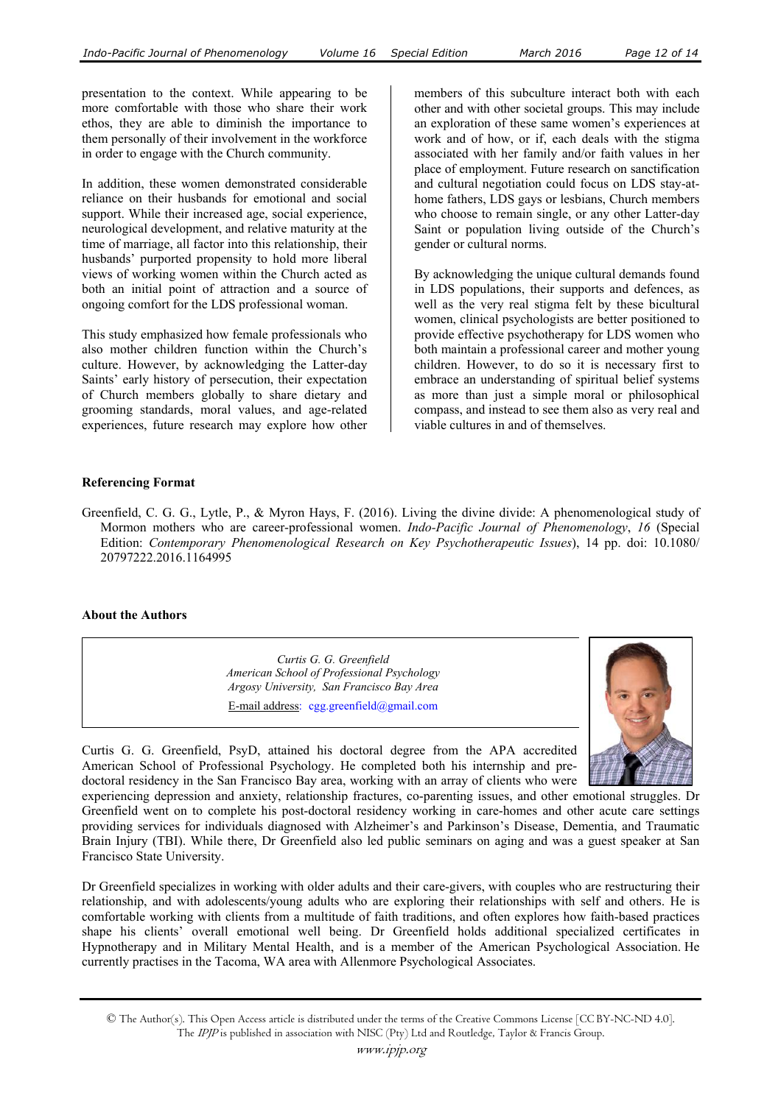presentation to the context. While appearing to be more comfortable with those who share their work ethos, they are able to diminish the importance to them personally of their involvement in the workforce in order to engage with the Church community.

In addition, these women demonstrated considerable reliance on their husbands for emotional and social support. While their increased age, social experience, neurological development, and relative maturity at the time of marriage, all factor into this relationship, their husbands' purported propensity to hold more liberal views of working women within the Church acted as both an initial point of attraction and a source of ongoing comfort for the LDS professional woman.

This study emphasized how female professionals who also mother children function within the Church's culture. However, by acknowledging the Latter-day Saints' early history of persecution, their expectation of Church members globally to share dietary and grooming standards, moral values, and age-related experiences, future research may explore how other members of this subculture interact both with each other and with other societal groups. This may include an exploration of these same women's experiences at work and of how, or if, each deals with the stigma associated with her family and/or faith values in her place of employment. Future research on sanctification and cultural negotiation could focus on LDS stay-athome fathers, LDS gays or lesbians, Church members who choose to remain single, or any other Latter-day Saint or population living outside of the Church's gender or cultural norms.

By acknowledging the unique cultural demands found in LDS populations, their supports and defences, as well as the very real stigma felt by these bicultural women, clinical psychologists are better positioned to provide effective psychotherapy for LDS women who both maintain a professional career and mother young children. However, to do so it is necessary first to embrace an understanding of spiritual belief systems as more than just a simple moral or philosophical compass, and instead to see them also as very real and viable cultures in and of themselves.

#### **Referencing Format**

Greenfield, C. G. G., Lytle, P., & Myron Hays, F. (2016). Living the divine divide: A phenomenological study of Mormon mothers who are career-professional women. *Indo-Pacific Journal of Phenomenology*, *16* (Special Edition: *Contemporary Phenomenological Research on Key Psychotherapeutic Issues*), 14 pp. doi: 10.1080/ 20797222.2016.1164995

#### **About the Authors**

*Curtis G. G. Greenfield American School of Professional Psychology Argosy University, San Francisco Bay Area*  E-mail address: cgg.greenfield@gmail.com



Curtis G. G. Greenfield, PsyD, attained his doctoral degree from the APA accredited American School of Professional Psychology. He completed both his internship and predoctoral residency in the San Francisco Bay area, working with an array of clients who were

experiencing depression and anxiety, relationship fractures, co-parenting issues, and other emotional struggles. Dr Greenfield went on to complete his post-doctoral residency working in care-homes and other acute care settings providing services for individuals diagnosed with Alzheimer's and Parkinson's Disease, Dementia, and Traumatic Brain Injury (TBI). While there, Dr Greenfield also led public seminars on aging and was a guest speaker at San Francisco State University.

Dr Greenfield specializes in working with older adults and their care-givers, with couples who are restructuring their relationship, and with adolescents/young adults who are exploring their relationships with self and others. He is comfortable working with clients from a multitude of faith traditions, and often explores how faith-based practices shape his clients' overall emotional well being. Dr Greenfield holds additional specialized certificates in Hypnotherapy and in Military Mental Health, and is a member of the American Psychological Association. He currently practises in the Tacoma, WA area with Allenmore Psychological Associates.

<sup>©</sup> The Author(s). This Open Access article is distributed under the terms of the Creative Commons License [CC BY-NC-ND 4.0]. The IPJP is published in association with NISC (Pty) Ltd and Routledge, Taylor & Francis Group.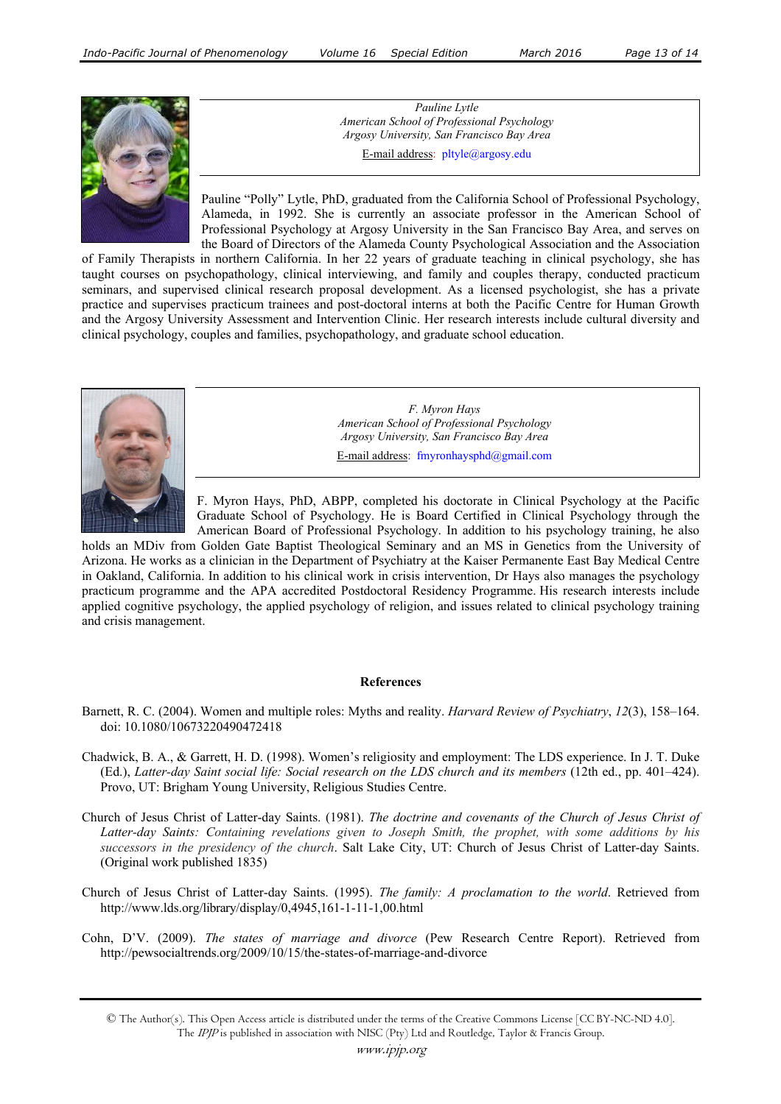

*Pauline Lytle American School of Professional Psychology Argosy University, San Francisco Bay Area*  E-mail address: pltyle@argosy.edu

Pauline "Polly" Lytle, PhD, graduated from the California School of Professional Psychology, Alameda, in 1992. She is currently an associate professor in the American School of Professional Psychology at Argosy University in the San Francisco Bay Area, and serves on the Board of Directors of the Alameda County Psychological Association and the Association

of Family Therapists in northern California. In her 22 years of graduate teaching in clinical psychology, she has taught courses on psychopathology, clinical interviewing, and family and couples therapy, conducted practicum seminars, and supervised clinical research proposal development. As a licensed psychologist, she has a private practice and supervises practicum trainees and post-doctoral interns at both the Pacific Centre for Human Growth and the Argosy University Assessment and Intervention Clinic. Her research interests include cultural diversity and clinical psychology, couples and families, psychopathology, and graduate school education.



*F. Myron Hays American School of Professional Psychology Argosy University, San Francisco Bay Area*  E-mail address: fmyronhaysphd@gmail.com

F. Myron Hays, PhD, ABPP, completed his doctorate in Clinical Psychology at the Pacific Graduate School of Psychology. He is Board Certified in Clinical Psychology through the American Board of Professional Psychology. In addition to his psychology training, he also

holds an MDiv from Golden Gate Baptist Theological Seminary and an MS in Genetics from the University of Arizona. He works as a clinician in the Department of Psychiatry at the Kaiser Permanente East Bay Medical Centre in Oakland, California. In addition to his clinical work in crisis intervention, Dr Hays also manages the psychology practicum programme and the APA accredited Postdoctoral Residency Programme. His research interests include applied cognitive psychology, the applied psychology of religion, and issues related to clinical psychology training and crisis management.

#### **References**

- Barnett, R. C. (2004). Women and multiple roles: Myths and reality. *Harvard Review of Psychiatry*, *12*(3), 158–164. doi: 10.1080/10673220490472418
- Chadwick, B. A., & Garrett, H. D. (1998). Women's religiosity and employment: The LDS experience. In J. T. Duke (Ed.), *Latter-day Saint social life: Social research on the LDS church and its members* (12th ed., pp. 401–424). Provo, UT: Brigham Young University, Religious Studies Centre.
- Church of Jesus Christ of Latter-day Saints. (1981). *The doctrine and covenants of the Church of Jesus Christ of Latter-day Saints: Containing revelations given to Joseph Smith, the prophet, with some additions by his successors in the presidency of the church*. Salt Lake City, UT: Church of Jesus Christ of Latter-day Saints. (Original work published 1835)
- Church of Jesus Christ of Latter-day Saints. (1995). *The family: A proclamation to the world*. Retrieved from http://www.lds.org/library/display/0,4945,161-1-11-1,00.html
- Cohn, D'V. (2009). *The states of marriage and divorce* (Pew Research Centre Report). Retrieved from http://pewsocialtrends.org/2009/10/15/the-states-of-marriage-and-divorce

<sup>©</sup> The Author(s). This Open Access article is distributed under the terms of the Creative Commons License [CC BY-NC-ND 4.0]. The *IPJP* is published in association with NISC (Pty) Ltd and Routledge, Taylor & Francis Group.